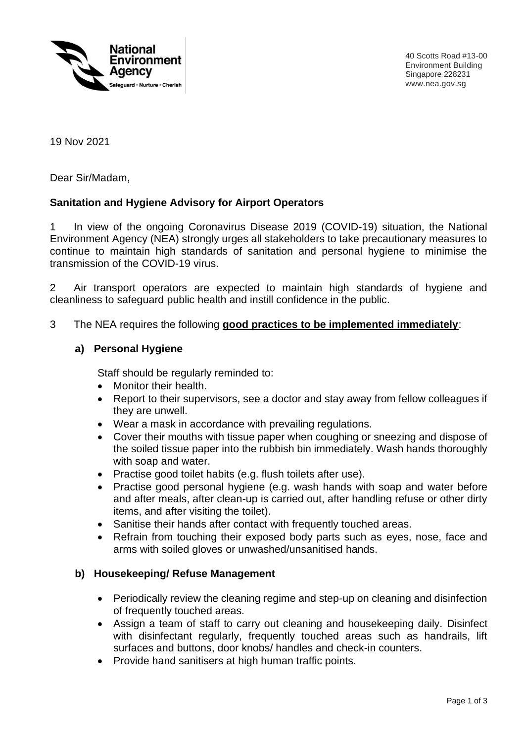

40 Scotts Road #13-00 Environment Building Singapore 228231 www.nea.gov.sg

19 Nov 2021

Dear Sir/Madam,

### **Sanitation and Hygiene Advisory for Airport Operators**

1 In view of the ongoing Coronavirus Disease 2019 (COVID-19) situation, the National Environment Agency (NEA) strongly urges all stakeholders to take precautionary measures to continue to maintain high standards of sanitation and personal hygiene to minimise the transmission of the COVID-19 virus.

2 Air transport operators are expected to maintain high standards of hygiene and cleanliness to safeguard public health and instill confidence in the public.

3 The NEA requires the following **good practices to be implemented immediately**:

### **a) Personal Hygiene**

Staff should be regularly reminded to:

- Monitor their health.
- Report to their supervisors, see a doctor and stay away from fellow colleagues if they are unwell.
- Wear a mask in accordance with prevailing regulations.
- Cover their mouths with tissue paper when coughing or sneezing and dispose of the soiled tissue paper into the rubbish bin immediately. Wash hands thoroughly with soap and water.
- Practise good toilet habits (e.g. flush toilets after use).
- Practise good personal hygiene (e.g. wash hands with soap and water before and after meals, after clean-up is carried out, after handling refuse or other dirty items, and after visiting the toilet).
- Sanitise their hands after contact with frequently touched areas.
- Refrain from touching their exposed body parts such as eyes, nose, face and arms with soiled gloves or unwashed/unsanitised hands.

#### **b) Housekeeping/ Refuse Management**

- Periodically review the cleaning regime and step-up on cleaning and disinfection of frequently touched areas.
- Assign a team of staff to carry out cleaning and housekeeping daily. Disinfect with disinfectant regularly, frequently touched areas such as handrails, lift surfaces and buttons, door knobs/ handles and check-in counters.
- Provide hand sanitisers at high human traffic points.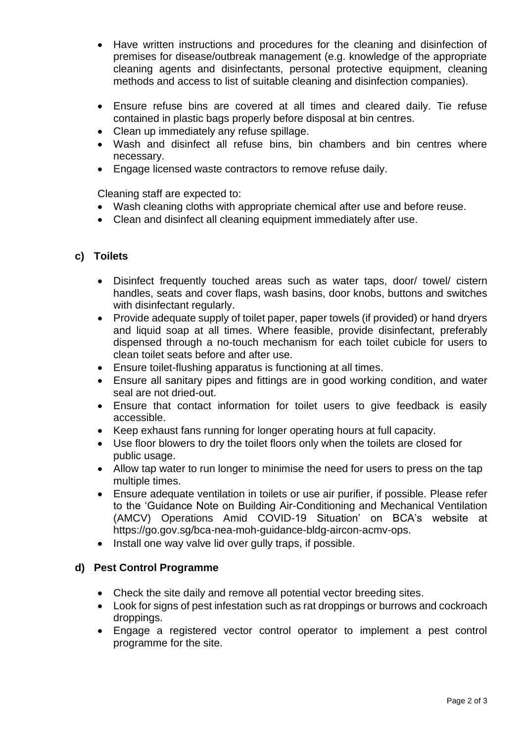- Have written instructions and procedures for the cleaning and disinfection of premises for disease/outbreak management (e.g. knowledge of the appropriate cleaning agents and disinfectants, personal protective equipment, cleaning methods and access to list of suitable cleaning and disinfection companies).
- Ensure refuse bins are covered at all times and cleared daily. Tie refuse contained in plastic bags properly before disposal at bin centres.
- Clean up immediately any refuse spillage.
- Wash and disinfect all refuse bins, bin chambers and bin centres where necessary.
- Engage licensed waste contractors to remove refuse daily.

Cleaning staff are expected to:

- Wash cleaning cloths with appropriate chemical after use and before reuse.
- Clean and disinfect all cleaning equipment immediately after use.

### **c) Toilets**

- Disinfect frequently touched areas such as water taps, door/ towel/ cistern handles, seats and cover flaps, wash basins, door knobs, buttons and switches with disinfectant regularly.
- Provide adequate supply of toilet paper, paper towels (if provided) or hand dryers and liquid soap at all times. Where feasible, provide disinfectant, preferably dispensed through a no-touch mechanism for each toilet cubicle for users to clean toilet seats before and after use.
- Ensure toilet-flushing apparatus is functioning at all times.
- Ensure all sanitary pipes and fittings are in good working condition, and water seal are not dried-out.
- Ensure that contact information for toilet users to give feedback is easily accessible.
- Keep exhaust fans running for longer operating hours at full capacity.
- Use floor blowers to dry the toilet floors only when the toilets are closed for public usage.
- Allow tap water to run longer to minimise the need for users to press on the tap multiple times.
- Ensure adequate ventilation in toilets or use air purifier, if possible. Please refer to the 'Guidance Note on Building Air-Conditioning and Mechanical Ventilation (AMCV) Operations Amid COVID-19 Situation' on BCA's website at https://go.gov.sg/bca-nea-moh-guidance-bldg-aircon-acmv-ops.
- Install one way valve lid over gully traps, if possible.

## **d) Pest Control Programme**

- Check the site daily and remove all potential vector breeding sites.
- Look for signs of pest infestation such as rat droppings or burrows and cockroach droppings.
- Engage a registered vector control operator to implement a pest control programme for the site.